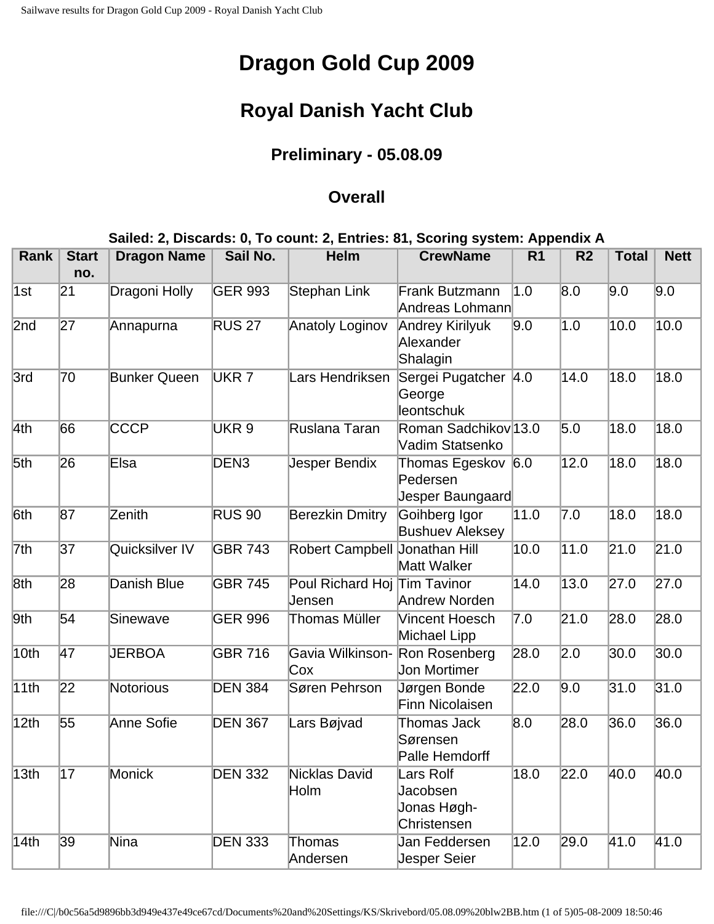# **Dragon Gold Cup 2009**

## **Royal Danish Yacht Club**

### **Preliminary - 05.08.09**

#### **Overall**

#### **Sailed: 2, Discards: 0, To count: 2, Entries: 81, Scoring system: Appendix A**

| <b>Rank</b> | <b>Start</b><br>no. | <b>Dragon Name</b>  | Sail No.         | <b>Helm</b>                            | <b>CrewName</b>                                     | R <sub>1</sub> | R <sub>2</sub>    | <b>Total</b> | <b>Nett</b>       |
|-------------|---------------------|---------------------|------------------|----------------------------------------|-----------------------------------------------------|----------------|-------------------|--------------|-------------------|
| 1st         | 21                  | Dragoni Holly       | <b>GER 993</b>   | <b>Stephan Link</b>                    | Frank Butzmann<br>Andreas Lohmann                   | 1.0            | 8.0               | 9.0          | 9.0               |
| 2nd         | 27                  | Annapurna           | <b>RUS 27</b>    | Anatoly Loginov                        | Andrey Kirilyuk<br>Alexander<br>Shalagin            | 9.0            | 1.0               | 10.0         | $\overline{10.0}$ |
| 3rd         | 70                  | <b>Bunker Queen</b> | UKR <sub>7</sub> | Lars Hendriksen                        | Sergei Pugatcher 4.0<br>George<br>leontschuk        |                | 14.0              | 18.0         | 18.0              |
| 4th         | 66                  | <b>CCCP</b>         | UKR <sub>9</sub> | Ruslana Taran                          | Roman Sadchikov 13.0<br>Vadim Statsenko             |                | 5.0               | 18.0         | $\overline{18.0}$ |
| 5th         | 26                  | Elsa                | DEN <sub>3</sub> | Jesper Bendix                          | Thomas Egeskov 6.0<br>Pedersen<br>Jesper Baungaard  |                | 12.0              | 18.0         | 18.0              |
| 6th         | 87                  | Zenith              | <b>RUS 90</b>    | <b>Berezkin Dmitry</b>                 | Goihberg Igor<br><b>Bushuev Aleksey</b>             | 11.0           | 7.0               | 18.0         | 18.0              |
| 7th         | 37                  | Quicksilver IV      | <b>GBR 743</b>   | Robert Campbell Jonathan Hill          | <b>Matt Walker</b>                                  | 10.0           | 11.0              | 21.0         | $\overline{21.0}$ |
| 8th         | 28                  | Danish Blue         | <b>GBR 745</b>   | Poul Richard Hoj Tim Tavinor<br>Jensen | Andrew Norden                                       | 14.0           | 13.0              | 27.0         | 27.0              |
| 9th         | 54                  | Sinewave            | <b>GER 996</b>   | Thomas Müller                          | Vincent Hoesch<br>Michael Lipp                      | 7.0            | 21.0              | 28.0         | 28.0              |
| 10th        | $\overline{47}$     | <b>JERBOA</b>       | <b>GBR 716</b>   | Gavia Wilkinson-<br>Cox                | Ron Rosenberg<br><b>Jon Mortimer</b>                | 28.0           | $\overline{2.0}$  | 30.0         | 30.0              |
| 11th        | 22                  | Notorious           | <b>DEN 384</b>   | Søren Pehrson                          | Jørgen Bonde<br>Finn Nicolaisen                     | 22.0           | 9.0               | 31.0         | 31.0              |
| 12th        | 55                  | Anne Sofie          | <b>DEN 367</b>   | Lars Bøjvad                            | Thomas Jack<br>Sørensen<br>Palle Hemdorff           | 8.0            | 28.0              | 36.0         | 36.0              |
| 13th        | $\overline{17}$     | <b>Monick</b>       | <b>DEN 332</b>   | <b>Nicklas David</b><br>Holm           | Lars Rolf<br>Jacobsen<br>Jonas Høgh-<br>Christensen | 18.0           | $\overline{22.0}$ | 40.0         | 40.0              |
| 14th        | 39                  | Nina                | <b>DEN 333</b>   | Thomas<br>Andersen                     | Jan Feddersen<br><b>Jesper Seier</b>                | 12.0           | 29.0              | 41.0         | 41.0              |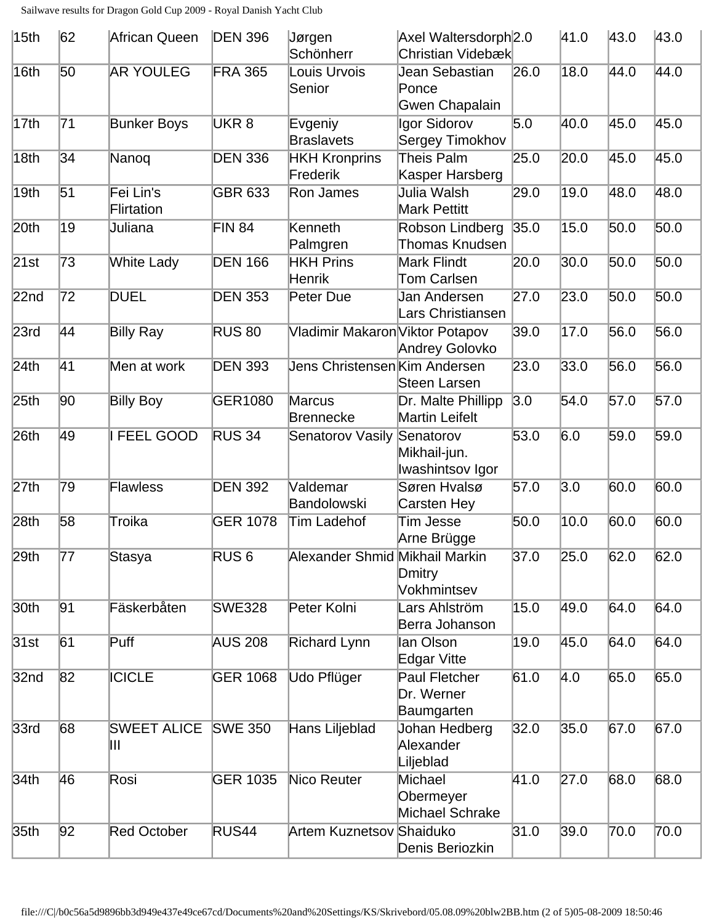| 15th             | 62              | African Queen           | <b>DEN 396</b>   | Jørgen<br>Schönherr              | Axel Waltersdorph <sub>2.0</sub><br>Christian Videbæk |      | 41.0              | 43.0 | 43.0              |
|------------------|-----------------|-------------------------|------------------|----------------------------------|-------------------------------------------------------|------|-------------------|------|-------------------|
| 16th             | 50              | <b>AR YOULEG</b>        | <b>FRA 365</b>   | Louis Urvois<br>Senior           | Jean Sebastian<br>Ponce<br>Gwen Chapalain             | 26.0 | 18.0              | 44.0 | 44.0              |
| 17th             | 71              | <b>Bunker Boys</b>      | UKR <sub>8</sub> | Evgeniy<br><b>Braslavets</b>     | Igor Sidorov<br>Sergey Timokhov                       | 5.0  | 40.0              | 45.0 | 45.0              |
| 18th             | 34              | Nanoq                   | <b>DEN 336</b>   | <b>HKH Kronprins</b><br>Frederik | Theis Palm<br>Kasper Harsberg                         | 25.0 | 20.0              | 45.0 | 45.0              |
| 19th             | 51              | Fei Lin's<br>Flirtation | <b>GBR 633</b>   | Ron James                        | Julia Walsh<br>Mark Pettitt                           | 29.0 | 19.0              | 48.0 | 48.0              |
| 20 <sub>th</sub> | $\overline{19}$ | Juliana                 | <b>FIN 84</b>    | Kenneth<br>Palmgren              | Robson Lindberg<br><b>Thomas Knudsen</b>              | 35.0 | 15.0              | 50.0 | $\overline{50.0}$ |
| 21st             | 73              | <b>White Lady</b>       | <b>DEN 166</b>   | <b>HKH Prins</b><br>Henrik       | <b>Mark Flindt</b><br>Tom Carlsen                     | 20.0 | 30.0              | 50.0 | $\overline{50.0}$ |
| 22 <sub>nd</sub> | 72              | <b>DUEL</b>             | <b>DEN 353</b>   | Peter Due                        | Jan Andersen<br>Lars Christiansen                     | 27.0 | 23.0              | 50.0 | 50.0              |
| 23rd             | 44              | <b>Billy Ray</b>        | <b>RUS 80</b>    | Vladimir Makaron Viktor Potapov  | Andrey Golovko                                        | 39.0 | 17.0              | 56.0 | 56.0              |
| 24th             | 41              | Men at work             | <b>DEN 393</b>   | Jens Christensen Kim Andersen    | Steen Larsen                                          | 23.0 | 33.0              | 56.0 | 56.0              |
| 25 <sub>th</sub> | 90              | <b>Billy Boy</b>        | <b>GER1080</b>   | Marcus<br><b>Brennecke</b>       | Dr. Malte Phillipp<br><b>Martin Leifelt</b>           | 3.0  | 54.0              | 57.0 | 57.0              |
| 26 <sub>th</sub> | 49              | FEEL GOOD               | <b>RUS 34</b>    | Senatorov Vasily                 | Senatorov<br>Mikhail-jun.<br>Iwashintsov Igor         | 53.0 | 6.0               | 59.0 | 59.0              |
| 27th             | 79              | Flawless                | <b>DEN 392</b>   | Valdemar<br>Bandolowski          | Søren Hvalsø<br>Carsten Hey                           | 57.0 | $\overline{3.0}$  | 60.0 | 60.0              |
| 28 <sub>th</sub> | 58              | Troika                  | <b>GER 1078</b>  | Tim Ladehof                      | <b>Tim Jesse</b><br>Arne Brügge                       | 50.0 | 10.0              | 60.0 | 60.0              |
| 29th             | 77              | Stasya                  | RUS <sub>6</sub> | Alexander Shmid Mikhail Markin   | Dmitry<br>Vokhmintsev                                 | 37.0 | 25.0              | 62.0 | 62.0              |
| 30 <sub>th</sub> | 91              | Fäskerbåten             | <b>SWE328</b>    | Peter Kolni                      | Lars Ahlström<br>Berra Johanson                       | 15.0 | 49.0              | 64.0 | 64.0              |
| 31st             | 61              | Puff                    | <b>AUS 208</b>   | <b>Richard Lynn</b>              | lan Olson<br>Edgar Vitte                              | 19.0 | 45.0              | 64.0 | 64.0              |
| 32 <sub>nd</sub> | 82              | <b>ICICLE</b>           | <b>GER 1068</b>  | Udo Pflüger                      | Paul Fletcher<br>Dr. Werner<br>Baumgarten             | 61.0 | $\vert 4.0 \vert$ | 65.0 | 65.0              |
| 33rd             | 68              | <b>SWEET ALICE</b><br>Ш | <b>SWE 350</b>   | Hans Liljeblad                   | Johan Hedberg<br>Alexander<br>Liljeblad               | 32.0 | 35.0              | 67.0 | 67.0              |
| 34 <sub>th</sub> | 46              | Rosi                    | <b>GER 1035</b>  | Nico Reuter                      | Michael<br>Obermeyer<br>Michael Schrake               | 41.0 | 27.0              | 68.0 | 68.0              |
| 35 <sub>th</sub> | 92              | <b>Red October</b>      | RUS44            | <b>Artem Kuznetsov Shaiduko</b>  | Denis Beriozkin                                       | 31.0 | 39.0              | 70.0 | 70.0              |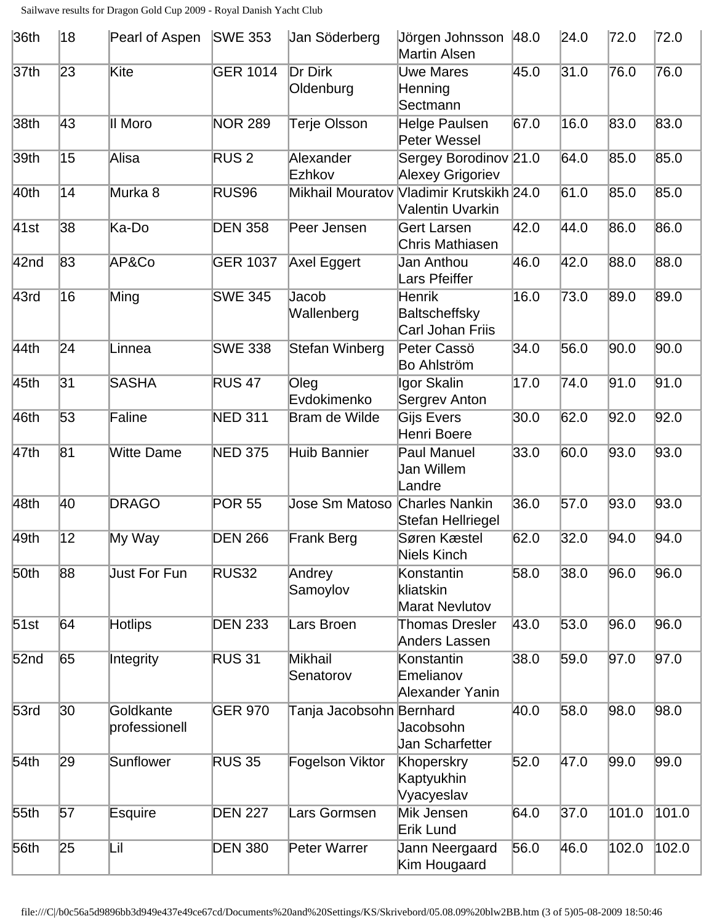| 36th             | 18              | Pearl of Aspen             | <b>SWE 353</b>   | Jan Söderberg                 | Jörgen Johnsson 48.0<br>Martin Alsen               |      | 24.0 | 72.0  | 72.0  |
|------------------|-----------------|----------------------------|------------------|-------------------------------|----------------------------------------------------|------|------|-------|-------|
| 37 <sub>th</sub> | 23              | Kite                       | <b>GER 1014</b>  | Dr Dirk<br>Oldenburg          | <b>Uwe Mares</b><br><b>Henning</b><br>Sectmann     | 45.0 | 31.0 | 76.0  | 76.0  |
| 38 <sub>th</sub> | 43              | II Moro                    | <b>NOR 289</b>   | <b>Terje Olsson</b>           | Helge Paulsen<br>Peter Wessel                      | 67.0 | 16.0 | 83.0  | 83.0  |
| 39th             | 15              | Alisa                      | RUS <sub>2</sub> | Alexander<br>Ezhkov           | Sergey Borodinov 21.0<br>Alexey Grigoriev          |      | 64.0 | 85.0  | 85.0  |
| 40th             | 14              | Murka <sub>8</sub>         | RUS96            | <b>Mikhail Mouratov</b>       | Vladimir Krutskikh 24.0<br>Valentin Uvarkin        |      | 61.0 | 85.0  | 85.0  |
| 41st             | 38              | Ka-Do                      | <b>DEN 358</b>   | Peer Jensen                   | <b>Gert Larsen</b><br>Chris Mathiasen              | 42.0 | 44.0 | 86.0  | 86.0  |
| 42nd             | 83              | AP&Co                      | <b>GER 1037</b>  | Axel Eggert                   | Jan Anthou<br>Lars Pfeiffer                        | 46.0 | 42.0 | 88.0  | 88.0  |
| 43rd             | 16              | Ming                       | <b>SWE 345</b>   | Jacob<br>Wallenberg           | <b>Henrik</b><br>Baltscheffsky<br>Carl Johan Friis | 16.0 | 73.0 | 89.0  | 89.0  |
| 44th             | 24              | Linnea                     | <b>SWE 338</b>   | Stefan Winberg                | Peter Cassö<br><b>Bo Ahlström</b>                  | 34.0 | 56.0 | 90.0  | 90.0  |
| 45th             | $\overline{31}$ | <b>SASHA</b>               | <b>RUS 47</b>    | Oleg<br>Evdokimenko           | Igor Skalin<br>Sergrev Anton                       | 17.0 | 74.0 | 91.0  | 91.0  |
| 46th             | 53              | Faline                     | <b>NED 311</b>   | Bram de Wilde                 | Gijs Evers<br>Henri Boere                          | 30.0 | 62.0 | 92.0  | 92.0  |
| 47th             | $\overline{81}$ | <b>Witte Dame</b>          | <b>NED 375</b>   | <b>Huib Bannier</b>           | <b>Paul Manuel</b><br>Jan Willem<br>Landre         | 33.0 | 60.0 | 93.0  | 93.0  |
| 48th             | 40              | <b>DRAGO</b>               | <b>POR 55</b>    | Jose Sm Matoso Charles Nankin | Stefan Hellriegel                                  | 36.0 | 57.0 | 93.0  | 93.0  |
| 49th             | $\overline{12}$ | My Way                     | <b>DEN 266</b>   | <b>Frank Berg</b>             | Søren Kæstel<br><b>Niels Kinch</b>                 | 62.0 | 32.0 | 94.0  | 94.0  |
| 50th             | 88              | <b>Just For Fun</b>        | <b>RUS32</b>     | Andrey<br>Samoylov            | Konstantin<br>kliatskin<br><b>Marat Nevlutov</b>   | 58.0 | 38.0 | 96.0  | 96.0  |
| 51st             | 64              | <b>Hotlips</b>             | <b>DEN 233</b>   | Lars Broen                    | <b>Thomas Dresler</b><br>Anders Lassen             | 43.0 | 53.0 | 96.0  | 96.0  |
| 52 <sub>nd</sub> | 65              | Integrity                  | <b>RUS 31</b>    | <b>Mikhail</b><br>Senatorov   | Konstantin<br>Emelianov<br>Alexander Yanin         | 38.0 | 59.0 | 97.0  | 97.0  |
| 53rd             | $ 30\rangle$    | Goldkante<br>professionell | <b>GER 970</b>   | Tanja Jacobsohn Bernhard      | Jacobsohn<br>Jan Scharfetter                       | 40.0 | 58.0 | 98.0  | 98.0  |
| 54 <sub>th</sub> | 29              | Sunflower                  | <b>RUS 35</b>    | Fogelson Viktor               | Khoperskry<br>Kaptyukhin<br>Vyacyeslav             | 52.0 | 47.0 | 99.0  | 99.0  |
| 55th             | 57              | Esquire                    | <b>DEN 227</b>   | Lars Gormsen                  | Mik Jensen<br>Erik Lund                            | 64.0 | 37.0 | 101.0 | 101.0 |
| 56th             | 25              | Lil                        | <b>DEN 380</b>   | Peter Warrer                  | Jann Neergaard<br>Kim Hougaard                     | 56.0 | 46.0 | 102.0 | 102.0 |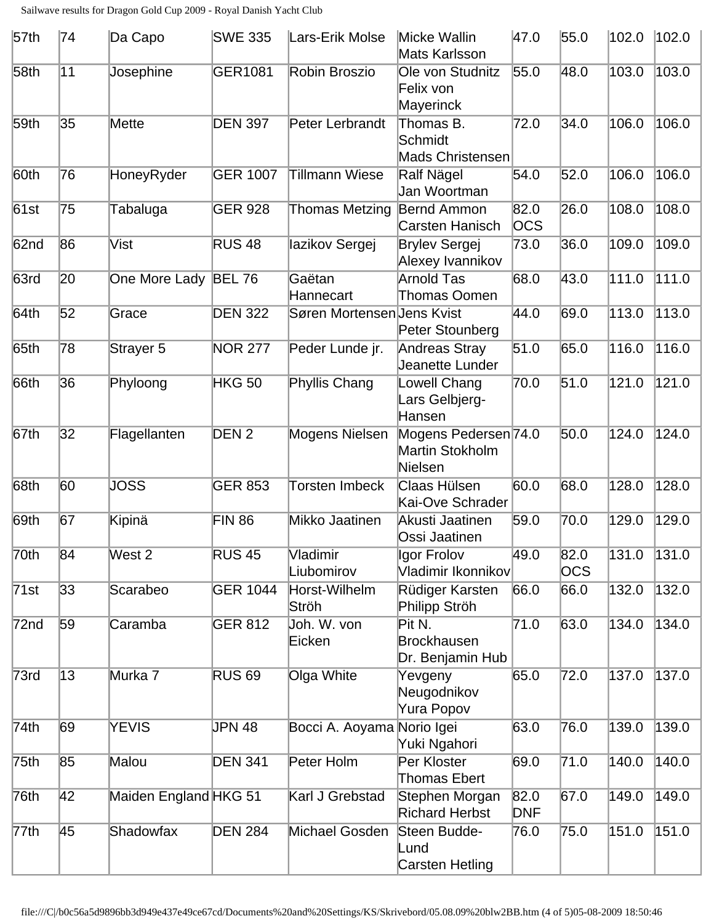| 57th             | 74 | Da Capo               | <b>SWE 335</b>   | Lars-Erik Molse            | Micke Wallin<br>Mats Karlsson                             | 47.0               | 55.0               | 102.0 | 102.0 |
|------------------|----|-----------------------|------------------|----------------------------|-----------------------------------------------------------|--------------------|--------------------|-------|-------|
| 58 <sub>th</sub> | 11 | Josephine             | <b>GER1081</b>   | Robin Broszio              | Ole von Studnitz<br>Felix von<br>Mayerinck                | 55.0               | 48.0               | 103.0 | 103.0 |
| 59 <sub>th</sub> | 35 | Mette                 | <b>DEN 397</b>   | Peter Lerbrandt            | Thomas B.<br>Schmidt<br><b>Mads Christensen</b>           | 72.0               | 34.0               | 106.0 | 106.0 |
| 60th             | 76 | HoneyRyder            | <b>GER 1007</b>  | <b>Tillmann Wiese</b>      | Ralf Nägel<br>Jan Woortman                                | 54.0               | 52.0               | 106.0 | 106.0 |
| 61st             | 75 | Tabaluga              | <b>GER 928</b>   | <b>Thomas Metzing</b>      | Bernd Ammon<br>Carsten Hanisch                            | 82.0<br><b>OCS</b> | 26.0               | 108.0 | 108.0 |
| 62nd             | 86 | Vist                  | <b>RUS 48</b>    | lazikov Sergej             | <b>Brylev Sergej</b><br>Alexey Ivannikov                  | 73.0               | 36.0               | 109.0 | 109.0 |
| 63rd             | 20 | One More Lady BEL 76  |                  | Gaëtan<br>Hannecart        | <b>Arnold Tas</b><br><b>Thomas Oomen</b>                  | 68.0               | 43.0               | 111.0 | 111.0 |
| 64th             | 52 | Grace                 | <b>DEN 322</b>   | Søren Mortensen Jens Kvist | Peter Stounberg                                           | 44.0               | 69.0               | 113.0 | 113.0 |
| 65th             | 78 | Strayer 5             | <b>NOR 277</b>   | Peder Lunde jr.            | <b>Andreas Stray</b><br>Jeanette Lunder                   | 51.0               | 65.0               | 116.0 | 116.0 |
| 66th             | 36 | Phyloong              | <b>HKG 50</b>    | <b>Phyllis Chang</b>       | <b>Lowell Chang</b><br>Lars Gelbjerg-<br>Hansen           | 70.0               | 51.0               | 121.0 | 121.0 |
| 67th             | 32 | Flagellanten          | DEN <sub>2</sub> | Mogens Nielsen             | Mogens Pedersen 74.0<br><b>Martin Stokholm</b><br>Nielsen |                    | 50.0               | 124.0 | 124.0 |
| 68th             | 60 | <b>JOSS</b>           | <b>GER 853</b>   | <b>Torsten Imbeck</b>      | Claas Hülsen<br>Kai-Ove Schrader                          | 60.0               | 68.0               | 128.0 | 128.0 |
| 69th             | 67 | Kipinä                | <b>FIN 86</b>    | Mikko Jaatinen             | Akusti Jaatinen<br>Ossi Jaatinen                          | 59.0               | 70.0               | 129.0 | 129.0 |
| $\sqrt{70}$ th   | 84 | West <sub>2</sub>     | <b>RUS 45</b>    | Vladimir<br>Liubomirov     | Igor Frolov<br>Vladimir Ikonnikov                         | 49.0               | 82.0<br><b>OCS</b> | 131.0 | 131.0 |
| 71st             | 33 | Scarabeo              | <b>GER 1044</b>  | Horst-Wilhelm<br>Ströh     | Rüdiger Karsten<br>Philipp Ströh                          | 66.0               | 66.0               | 132.0 | 132.0 |
| 72 <sub>nd</sub> | 59 | Caramba               | <b>GER 812</b>   | Joh. W. von<br>Eicken      | Pit N.<br><b>Brockhausen</b><br>Dr. Benjamin Hub          | 71.0               | 63.0               | 134.0 | 134.0 |
| 73rd             | 13 | Murka 7               | <b>RUS 69</b>    | Olga White                 | Yevgeny<br>Neugodnikov<br>Yura Popov                      | 65.0               | 72.0               | 137.0 | 137.0 |
| 74th             | 69 | YEVIS                 | <b>JPN 48</b>    | Bocci A. Aoyama Norio Igei | Yuki Ngahori                                              | 63.0               | 76.0               | 139.0 | 139.0 |
| 75 <sub>th</sub> | 85 | Malou                 | <b>DEN 341</b>   | Peter Holm                 | Per Kloster<br><b>Thomas Ebert</b>                        | 69.0               | 71.0               | 140.0 | 140.0 |
| 76th             | 42 | Maiden England HKG 51 |                  | Karl J Grebstad            | Stephen Morgan<br><b>Richard Herbst</b>                   | 82.0<br><b>DNF</b> | 67.0               | 149.0 | 149.0 |
| 77th             | 45 | Shadowfax             | <b>DEN 284</b>   | Michael Gosden             | Steen Budde-<br>Lund<br>Carsten Hetling                   | 76.0               | 75.0               | 151.0 | 151.0 |